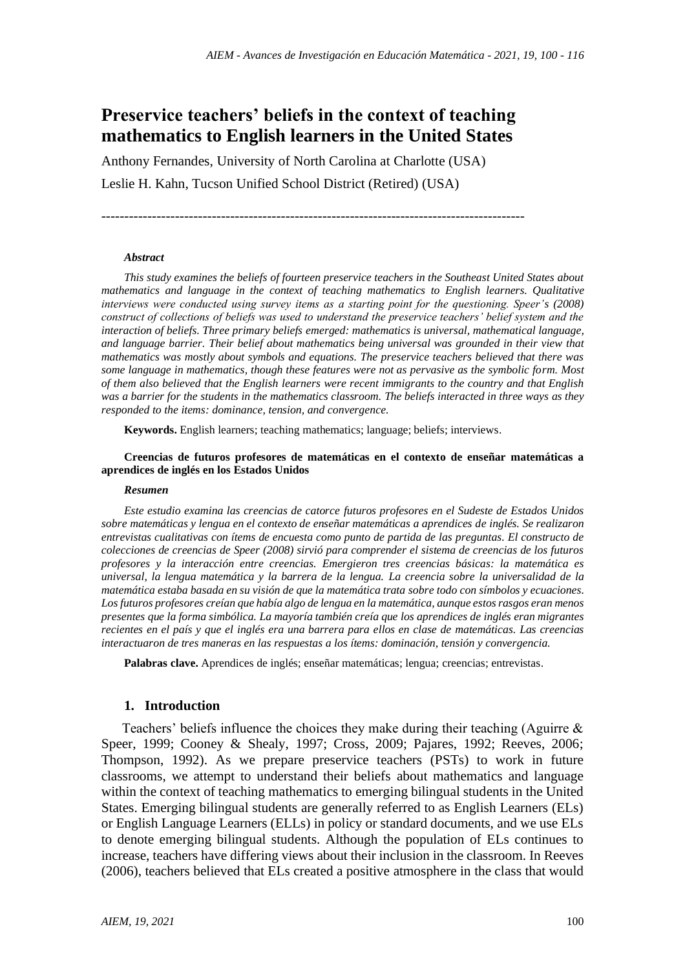# **Preservice teachers' beliefs in the context of teaching mathematics to English learners in the United States**

Anthony Fernandes, University of North Carolina at Charlotte (USA) Leslie H. Kahn, Tucson Unified School District (Retired) (USA)

--------------------------------------------------------------------------------------------

#### *Abstract*

*This study examines the beliefs of fourteen preservice teachers in the Southeast United States about mathematics and language in the context of teaching mathematics to English learners. Qualitative interviews were conducted using survey items as a starting point for the questioning. Speer's (2008) construct of collections of beliefs was used to understand the preservice teachers' belief system and the interaction of beliefs. Three primary beliefs emerged: mathematics is universal, mathematical language, and language barrier. Their belief about mathematics being universal was grounded in their view that mathematics was mostly about symbols and equations. The preservice teachers believed that there was some language in mathematics, though these features were not as pervasive as the symbolic form. Most of them also believed that the English learners were recent immigrants to the country and that English was a barrier for the students in the mathematics classroom. The beliefs interacted in three ways as they responded to the items: dominance, tension, and convergence.* 

**Keywords.** English learners; teaching mathematics; language; beliefs; interviews.

**Creencias de futuros profesores de matemáticas en el contexto de enseñar matemáticas a aprendices de inglés en los Estados Unidos** 

#### *Resumen*

*Este estudio examina las creencias de catorce futuros profesores en el Sudeste de Estados Unidos sobre matemáticas y lengua en el contexto de enseñar matemáticas a aprendices de inglés. Se realizaron entrevistas cualitativas con ítems de encuesta como punto de partida de las preguntas. El constructo de colecciones de creencias de Speer (2008) sirvió para comprender el sistema de creencias de los futuros profesores y la interacción entre creencias. Emergieron tres creencias básicas: la matemática es universal, la lengua matemática y la barrera de la lengua. La creencia sobre la universalidad de la matemática estaba basada en su visión de que la matemática trata sobre todo con símbolos y ecuaciones. Los futuros profesores creían que había algo de lengua en la matemática, aunque estos rasgos eran menos presentes que la forma simbólica. La mayoría también creía que los aprendices de inglés eran migrantes recientes en el país y que el inglés era una barrera para ellos en clase de matemáticas. Las creencias interactuaron de tres maneras en las respuestas a los ítems: dominación, tensión y convergencia.* 

**Palabras clave.** Aprendices de inglés; enseñar matemáticas; lengua; creencias; entrevistas.

#### **1. Introduction**

Teachers' beliefs influence the choices they make during their teaching (Aguirre & Speer, 1999; Cooney & Shealy, 1997; Cross, 2009; Pajares, 1992; Reeves, 2006; Thompson, 1992). As we prepare preservice teachers (PSTs) to work in future classrooms, we attempt to understand their beliefs about mathematics and language within the context of teaching mathematics to emerging bilingual students in the United States. Emerging bilingual students are generally referred to as English Learners (ELs) or English Language Learners (ELLs) in policy or standard documents, and we use ELs to denote emerging bilingual students. Although the population of ELs continues to increase, teachers have differing views about their inclusion in the classroom. In Reeves (2006), teachers believed that ELs created a positive atmosphere in the class that would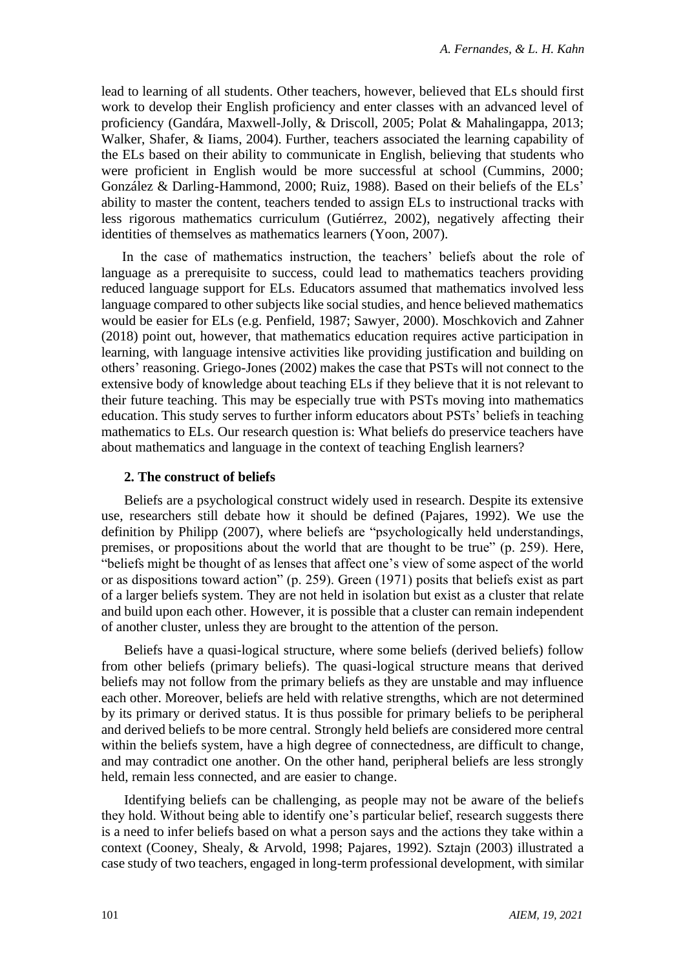lead to learning of all students. Other teachers, however, believed that ELs should first work to develop their English proficiency and enter classes with an advanced level of proficiency (Gandára, Maxwell-Jolly, & Driscoll, 2005; Polat & Mahalingappa, 2013; Walker, Shafer, & Iiams, 2004). Further, teachers associated the learning capability of the ELs based on their ability to communicate in English, believing that students who were proficient in English would be more successful at school (Cummins, 2000; González & Darling-Hammond, 2000; Ruiz, 1988). Based on their beliefs of the ELs' ability to master the content, teachers tended to assign ELs to instructional tracks with less rigorous mathematics curriculum (Gutiérrez, 2002), negatively affecting their identities of themselves as mathematics learners (Yoon, 2007).

In the case of mathematics instruction, the teachers' beliefs about the role of language as a prerequisite to success, could lead to mathematics teachers providing reduced language support for ELs. Educators assumed that mathematics involved less language compared to other subjects like social studies, and hence believed mathematics would be easier for ELs (e.g. Penfield, 1987; Sawyer, 2000). Moschkovich and Zahner (2018) point out, however, that mathematics education requires active participation in learning, with language intensive activities like providing justification and building on others' reasoning. Griego-Jones (2002) makes the case that PSTs will not connect to the extensive body of knowledge about teaching ELs if they believe that it is not relevant to their future teaching. This may be especially true with PSTs moving into mathematics education. This study serves to further inform educators about PSTs' beliefs in teaching mathematics to ELs. Our research question is: What beliefs do preservice teachers have about mathematics and language in the context of teaching English learners?

# **2. The construct of beliefs**

Beliefs are a psychological construct widely used in research. Despite its extensive use, researchers still debate how it should be defined (Pajares, 1992). We use the definition by Philipp (2007), where beliefs are "psychologically held understandings, premises, or propositions about the world that are thought to be true" (p. 259). Here, "beliefs might be thought of as lenses that affect one's view of some aspect of the world or as dispositions toward action" (p. 259). Green (1971) posits that beliefs exist as part of a larger beliefs system. They are not held in isolation but exist as a cluster that relate and build upon each other. However, it is possible that a cluster can remain independent of another cluster, unless they are brought to the attention of the person.

Beliefs have a quasi-logical structure, where some beliefs (derived beliefs) follow from other beliefs (primary beliefs). The quasi-logical structure means that derived beliefs may not follow from the primary beliefs as they are unstable and may influence each other. Moreover, beliefs are held with relative strengths, which are not determined by its primary or derived status. It is thus possible for primary beliefs to be peripheral and derived beliefs to be more central. Strongly held beliefs are considered more central within the beliefs system, have a high degree of connectedness, are difficult to change, and may contradict one another. On the other hand, peripheral beliefs are less strongly held, remain less connected, and are easier to change.

Identifying beliefs can be challenging, as people may not be aware of the beliefs they hold. Without being able to identify one's particular belief, research suggests there is a need to infer beliefs based on what a person says and the actions they take within a context (Cooney, Shealy, & Arvold, 1998; Pajares, 1992). Sztajn (2003) illustrated a case study of two teachers, engaged in long-term professional development, with similar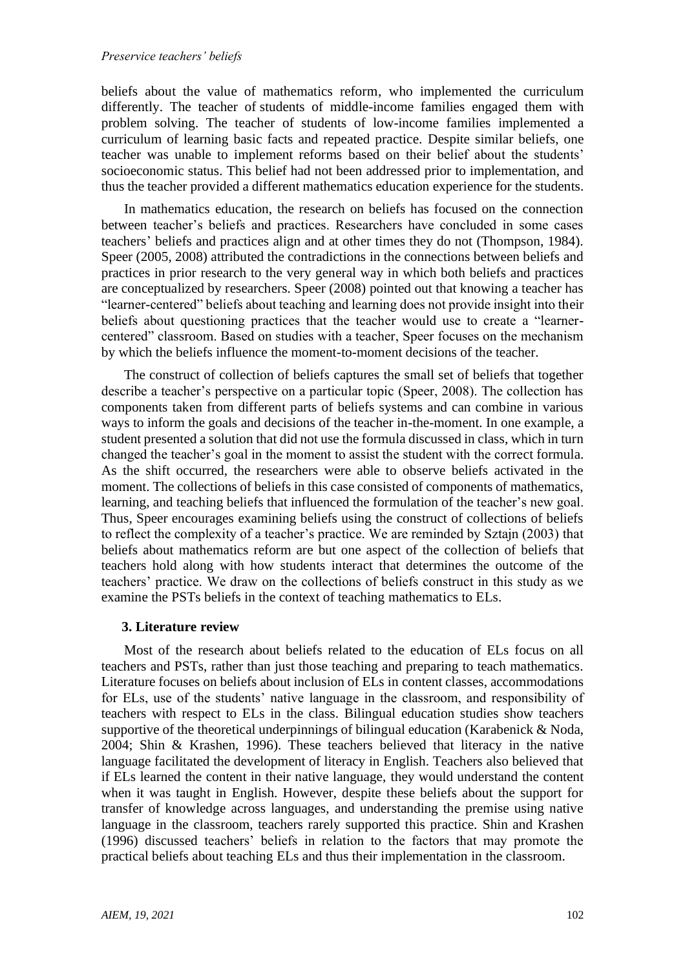#### *Preservice teachers' beliefs*

beliefs about the value of mathematics reform, who implemented the curriculum differently. The teacher of students of middle-income families engaged them with problem solving. The teacher of students of low-income families implemented a curriculum of learning basic facts and repeated practice. Despite similar beliefs, one teacher was unable to implement reforms based on their belief about the students' socioeconomic status. This belief had not been addressed prior to implementation, and thus the teacher provided a different mathematics education experience for the students.

In mathematics education, the research on beliefs has focused on the connection between teacher's beliefs and practices. Researchers have concluded in some cases teachers' beliefs and practices align and at other times they do not (Thompson, 1984). Speer (2005, 2008) attributed the contradictions in the connections between beliefs and practices in prior research to the very general way in which both beliefs and practices are conceptualized by researchers. Speer (2008) pointed out that knowing a teacher has "learner-centered" beliefs about teaching and learning does not provide insight into their beliefs about questioning practices that the teacher would use to create a "learnercentered" classroom. Based on studies with a teacher, Speer focuses on the mechanism by which the beliefs influence the moment-to-moment decisions of the teacher.

The construct of collection of beliefs captures the small set of beliefs that together describe a teacher's perspective on a particular topic (Speer, 2008). The collection has components taken from different parts of beliefs systems and can combine in various ways to inform the goals and decisions of the teacher in-the-moment. In one example, a student presented a solution that did not use the formula discussed in class, which in turn changed the teacher's goal in the moment to assist the student with the correct formula. As the shift occurred, the researchers were able to observe beliefs activated in the moment. The collections of beliefs in this case consisted of components of mathematics, learning, and teaching beliefs that influenced the formulation of the teacher's new goal. Thus, Speer encourages examining beliefs using the construct of collections of beliefs to reflect the complexity of a teacher's practice. We are reminded by Sztajn (2003) that beliefs about mathematics reform are but one aspect of the collection of beliefs that teachers hold along with how students interact that determines the outcome of the teachers' practice. We draw on the collections of beliefs construct in this study as we examine the PSTs beliefs in the context of teaching mathematics to ELs.

# **3. Literature review**

Most of the research about beliefs related to the education of ELs focus on all teachers and PSTs, rather than just those teaching and preparing to teach mathematics. Literature focuses on beliefs about inclusion of ELs in content classes, accommodations for ELs, use of the students' native language in the classroom, and responsibility of teachers with respect to ELs in the class. Bilingual education studies show teachers supportive of the theoretical underpinnings of bilingual education (Karabenick & Noda, 2004; Shin & Krashen, 1996). These teachers believed that literacy in the native language facilitated the development of literacy in English. Teachers also believed that if ELs learned the content in their native language, they would understand the content when it was taught in English. However, despite these beliefs about the support for transfer of knowledge across languages, and understanding the premise using native language in the classroom, teachers rarely supported this practice. Shin and Krashen (1996) discussed teachers' beliefs in relation to the factors that may promote the practical beliefs about teaching ELs and thus their implementation in the classroom.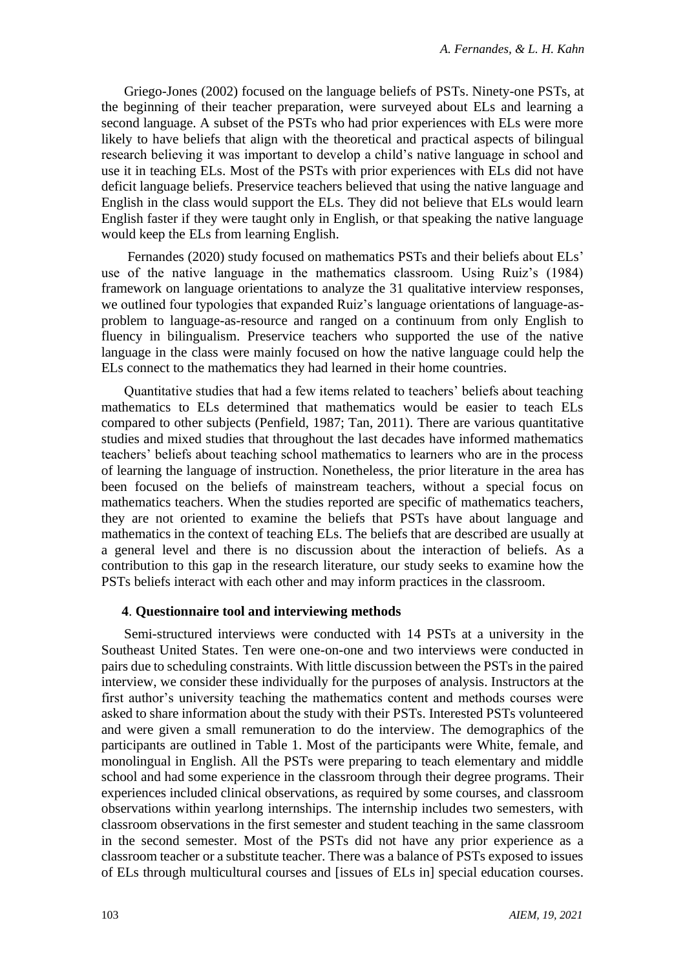Griego-Jones (2002) focused on the language beliefs of PSTs. Ninety-one PSTs, at the beginning of their teacher preparation, were surveyed about ELs and learning a second language. A subset of the PSTs who had prior experiences with ELs were more likely to have beliefs that align with the theoretical and practical aspects of bilingual research believing it was important to develop a child's native language in school and use it in teaching ELs. Most of the PSTs with prior experiences with ELs did not have deficit language beliefs. Preservice teachers believed that using the native language and English in the class would support the ELs. They did not believe that ELs would learn English faster if they were taught only in English, or that speaking the native language would keep the ELs from learning English.

Fernandes (2020) study focused on mathematics PSTs and their beliefs about ELs' use of the native language in the mathematics classroom. Using Ruiz's (1984) framework on language orientations to analyze the 31 qualitative interview responses, we outlined four typologies that expanded Ruiz's language orientations of language-asproblem to language-as-resource and ranged on a continuum from only English to fluency in bilingualism. Preservice teachers who supported the use of the native language in the class were mainly focused on how the native language could help the ELs connect to the mathematics they had learned in their home countries.

Quantitative studies that had a few items related to teachers' beliefs about teaching mathematics to ELs determined that mathematics would be easier to teach ELs compared to other subjects (Penfield, 1987; Tan, 2011). There are various quantitative studies and mixed studies that throughout the last decades have informed mathematics teachers' beliefs about teaching school mathematics to learners who are in the process of learning the language of instruction. Nonetheless, the prior literature in the area has been focused on the beliefs of mainstream teachers, without a special focus on mathematics teachers. When the studies reported are specific of mathematics teachers, they are not oriented to examine the beliefs that PSTs have about language and mathematics in the context of teaching ELs. The beliefs that are described are usually at a general level and there is no discussion about the interaction of beliefs. As a contribution to this gap in the research literature, our study seeks to examine how the PSTs beliefs interact with each other and may inform practices in the classroom.

#### **4**. **Questionnaire tool and interviewing methods**

Semi-structured interviews were conducted with 14 PSTs at a university in the Southeast United States. Ten were one-on-one and two interviews were conducted in pairs due to scheduling constraints. With little discussion between the PSTs in the paired interview, we consider these individually for the purposes of analysis. Instructors at the first author's university teaching the mathematics content and methods courses were asked to share information about the study with their PSTs. Interested PSTs volunteered and were given a small remuneration to do the interview. The demographics of the participants are outlined in Table 1. Most of the participants were White, female, and monolingual in English. All the PSTs were preparing to teach elementary and middle school and had some experience in the classroom through their degree programs. Their experiences included clinical observations, as required by some courses, and classroom observations within yearlong internships. The internship includes two semesters, with classroom observations in the first semester and student teaching in the same classroom in the second semester. Most of the PSTs did not have any prior experience as a classroom teacher or a substitute teacher. There was a balance of PSTs exposed to issues of ELs through multicultural courses and [issues of ELs in] special education courses.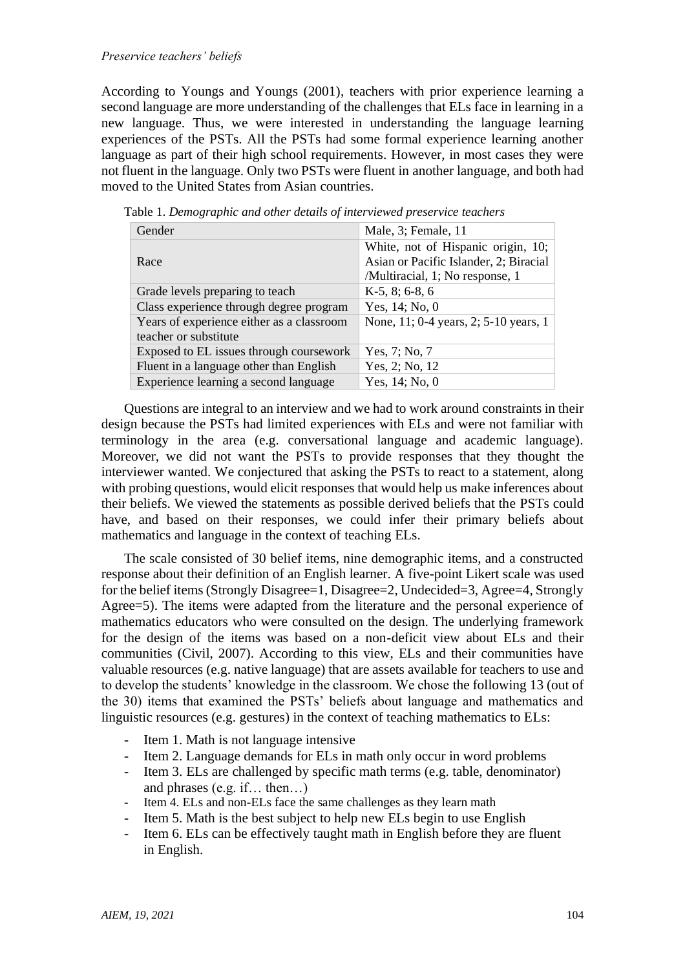According to Youngs and Youngs (2001), teachers with prior experience learning a second language are more understanding of the challenges that ELs face in learning in a new language. Thus, we were interested in understanding the language learning experiences of the PSTs. All the PSTs had some formal experience learning another language as part of their high school requirements. However, in most cases they were not fluent in the language. Only two PSTs were fluent in another language, and both had moved to the United States from Asian countries.

| Gender                                    | Male, 3; Female, 11                                                                                             |
|-------------------------------------------|-----------------------------------------------------------------------------------------------------------------|
| Race                                      | White, not of Hispanic origin, 10;<br>Asian or Pacific Islander, 2; Biracial<br>/Multiracial, 1; No response, 1 |
| Grade levels preparing to teach           | $K-5, 8; 6-8, 6$                                                                                                |
| Class experience through degree program   | Yes, 14; No, 0                                                                                                  |
| Years of experience either as a classroom | None, 11; 0-4 years, 2; 5-10 years, 1                                                                           |
| teacher or substitute                     |                                                                                                                 |
| Exposed to EL issues through coursework   | Yes, 7; No, 7                                                                                                   |
| Fluent in a language other than English   | Yes, 2; No, 12                                                                                                  |
| Experience learning a second language     | Yes, 14; No, 0                                                                                                  |

Table 1. *Demographic and other details of interviewed preservice teachers*

Questions are integral to an interview and we had to work around constraints in their design because the PSTs had limited experiences with ELs and were not familiar with terminology in the area (e.g. conversational language and academic language). Moreover, we did not want the PSTs to provide responses that they thought the interviewer wanted. We conjectured that asking the PSTs to react to a statement, along with probing questions, would elicit responses that would help us make inferences about their beliefs. We viewed the statements as possible derived beliefs that the PSTs could have, and based on their responses, we could infer their primary beliefs about mathematics and language in the context of teaching ELs.

The scale consisted of 30 belief items, nine demographic items, and a constructed response about their definition of an English learner. A five-point Likert scale was used for the belief items (Strongly Disagree=1, Disagree=2, Undecided=3, Agree=4, Strongly Agree=5). The items were adapted from the literature and the personal experience of mathematics educators who were consulted on the design. The underlying framework for the design of the items was based on a non-deficit view about ELs and their communities (Civil, 2007). According to this view, ELs and their communities have valuable resources (e.g. native language) that are assets available for teachers to use and to develop the students' knowledge in the classroom. We chose the following 13 (out of the 30) items that examined the PSTs' beliefs about language and mathematics and linguistic resources (e.g. gestures) in the context of teaching mathematics to ELs:

- Item 1. Math is not language intensive
- Item 2. Language demands for ELs in math only occur in word problems
- Item 3. ELs are challenged by specific math terms (e.g. table, denominator) and phrases (e.g. if… then…)
- Item 4. ELs and non-ELs face the same challenges as they learn math
- Item 5. Math is the best subject to help new ELs begin to use English
- Item 6. ELs can be effectively taught math in English before they are fluent in English.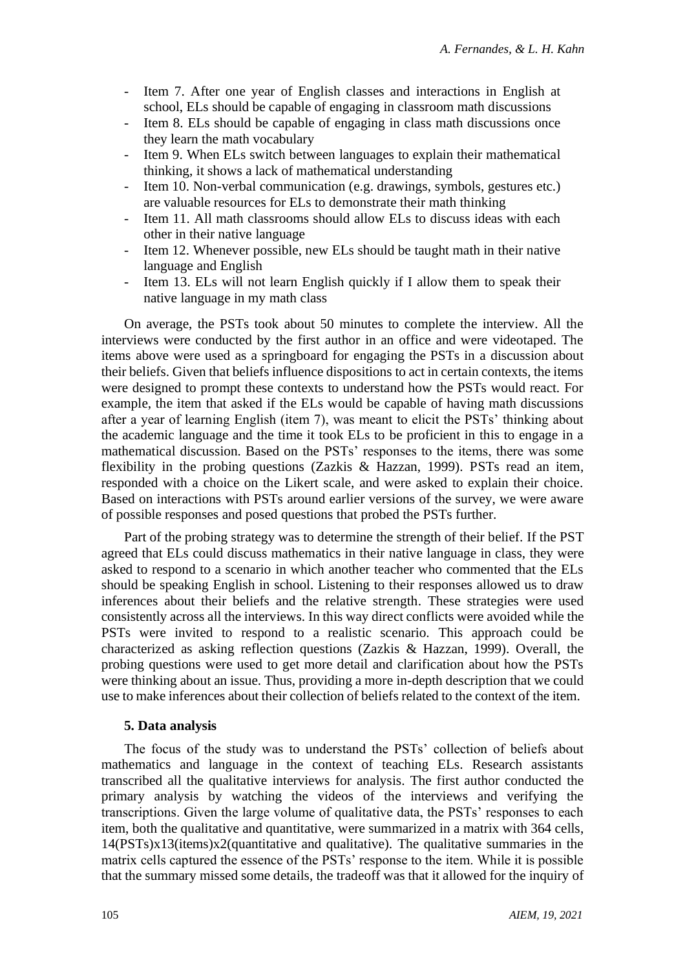- Item 7. After one year of English classes and interactions in English at school, ELs should be capable of engaging in classroom math discussions
- Item 8. ELs should be capable of engaging in class math discussions once they learn the math vocabulary
- Item 9. When ELs switch between languages to explain their mathematical thinking, it shows a lack of mathematical understanding
- Item 10. Non-verbal communication (e.g. drawings, symbols, gestures etc.) are valuable resources for ELs to demonstrate their math thinking
- Item 11. All math classrooms should allow ELs to discuss ideas with each other in their native language
- Item 12. Whenever possible, new ELs should be taught math in their native language and English
- Item 13. ELs will not learn English quickly if I allow them to speak their native language in my math class

On average, the PSTs took about 50 minutes to complete the interview. All the interviews were conducted by the first author in an office and were videotaped. The items above were used as a springboard for engaging the PSTs in a discussion about their beliefs. Given that beliefs influence dispositions to act in certain contexts, the items were designed to prompt these contexts to understand how the PSTs would react. For example, the item that asked if the ELs would be capable of having math discussions after a year of learning English (item 7), was meant to elicit the PSTs' thinking about the academic language and the time it took ELs to be proficient in this to engage in a mathematical discussion. Based on the PSTs' responses to the items, there was some flexibility in the probing questions (Zazkis & Hazzan, 1999). PSTs read an item, responded with a choice on the Likert scale, and were asked to explain their choice. Based on interactions with PSTs around earlier versions of the survey, we were aware of possible responses and posed questions that probed the PSTs further.

Part of the probing strategy was to determine the strength of their belief. If the PST agreed that ELs could discuss mathematics in their native language in class, they were asked to respond to a scenario in which another teacher who commented that the ELs should be speaking English in school. Listening to their responses allowed us to draw inferences about their beliefs and the relative strength. These strategies were used consistently across all the interviews. In this way direct conflicts were avoided while the PSTs were invited to respond to a realistic scenario. This approach could be characterized as asking reflection questions (Zazkis & Hazzan, 1999). Overall, the probing questions were used to get more detail and clarification about how the PSTs were thinking about an issue. Thus, providing a more in-depth description that we could use to make inferences about their collection of beliefs related to the context of the item.

#### **5. Data analysis**

The focus of the study was to understand the PSTs' collection of beliefs about mathematics and language in the context of teaching ELs. Research assistants transcribed all the qualitative interviews for analysis. The first author conducted the primary analysis by watching the videos of the interviews and verifying the transcriptions. Given the large volume of qualitative data, the PSTs' responses to each item, both the qualitative and quantitative, were summarized in a matrix with 364 cells, 14(PSTs)x13(items)x2(quantitative and qualitative). The qualitative summaries in the matrix cells captured the essence of the PSTs' response to the item. While it is possible that the summary missed some details, the tradeoff was that it allowed for the inquiry of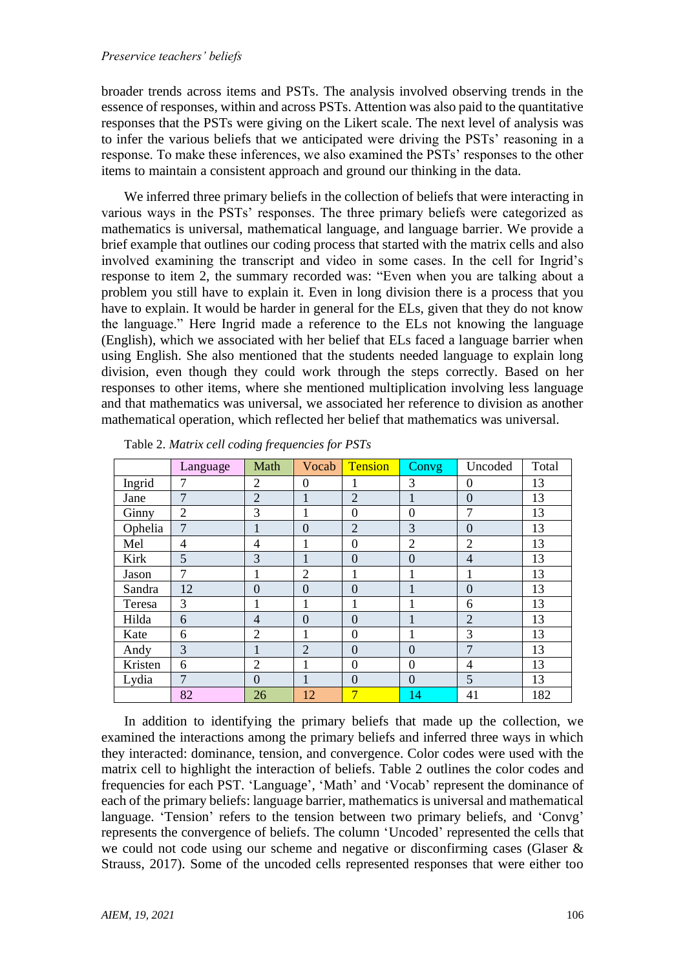### *Preservice teachers' beliefs*

broader trends across items and PSTs. The analysis involved observing trends in the essence of responses, within and across PSTs. Attention was also paid to the quantitative responses that the PSTs were giving on the Likert scale. The next level of analysis was to infer the various beliefs that we anticipated were driving the PSTs' reasoning in a response. To make these inferences, we also examined the PSTs' responses to the other items to maintain a consistent approach and ground our thinking in the data.

We inferred three primary beliefs in the collection of beliefs that were interacting in various ways in the PSTs' responses. The three primary beliefs were categorized as mathematics is universal, mathematical language, and language barrier. We provide a brief example that outlines our coding process that started with the matrix cells and also involved examining the transcript and video in some cases. In the cell for Ingrid's response to item 2, the summary recorded was: "Even when you are talking about a problem you still have to explain it. Even in long division there is a process that you have to explain. It would be harder in general for the ELs, given that they do not know the language." Here Ingrid made a reference to the ELs not knowing the language (English), which we associated with her belief that ELs faced a language barrier when using English. She also mentioned that the students needed language to explain long division, even though they could work through the steps correctly. Based on her responses to other items, where she mentioned multiplication involving less language and that mathematics was universal, we associated her reference to division as another mathematical operation, which reflected her belief that mathematics was universal.

|         | Language       | Math           | Vocab          | <b>Tension</b>   | Convg          | Uncoded          | Total |
|---------|----------------|----------------|----------------|------------------|----------------|------------------|-------|
| Ingrid  | 7              | $\overline{2}$ | $\theta$       | 1                | 3              | $\boldsymbol{0}$ | 13    |
| Jane    | 7              | $\overline{2}$ | 1              | $\overline{2}$   | 1              | $\overline{0}$   | 13    |
| Ginny   | $\overline{2}$ | 3              | 1              | $\theta$         | $\overline{0}$ | 7                | 13    |
| Ophelia | $\overline{7}$ |                | $\overline{0}$ | $\overline{2}$   | 3              | $\boldsymbol{0}$ | 13    |
| Mel     | 4              | 4              | 1              | $\overline{0}$   | $\overline{2}$ | $\overline{2}$   | 13    |
| Kirk    | 5              | 3              |                | $\overline{0}$   | $\overline{0}$ | $\overline{4}$   | 13    |
| Jason   | 7              | 1              | $\overline{2}$ |                  | 1              |                  | 13    |
| Sandra  | 12             | $\Omega$       | $\overline{0}$ | $\theta$         | 1              | $\overline{0}$   | 13    |
| Teresa  | 3              | 1              | 1              |                  | 1              | 6                | 13    |
| Hilda   | 6              | $\overline{4}$ | $\overline{0}$ | $\theta$         | 1              | $\overline{2}$   | 13    |
| Kate    | 6              | $\overline{2}$ | 1              | $\boldsymbol{0}$ | 1              | 3                | 13    |
| Andy    | 3              |                | $\overline{2}$ | $\overline{0}$   | $\overline{0}$ | 7                | 13    |
| Kristen | 6              | $\overline{2}$ | 1              | $\overline{0}$   | $\overline{0}$ | 4                | 13    |
| Lydia   | 7              | $\Omega$       |                | $\theta$         | $\overline{0}$ | 5                | 13    |
|         | 82             | 26             | 12             | 7                | 14             | 41               | 182   |

Table 2. *Matrix cell coding frequencies for PSTs*

In addition to identifying the primary beliefs that made up the collection, we examined the interactions among the primary beliefs and inferred three ways in which they interacted: dominance, tension, and convergence. Color codes were used with the matrix cell to highlight the interaction of beliefs. Table 2 outlines the color codes and frequencies for each PST. 'Language', 'Math' and 'Vocab' represent the dominance of each of the primary beliefs: language barrier, mathematics is universal and mathematical language. 'Tension' refers to the tension between two primary beliefs, and 'Convg' represents the convergence of beliefs. The column 'Uncoded' represented the cells that we could not code using our scheme and negative or disconfirming cases (Glaser & Strauss, 2017). Some of the uncoded cells represented responses that were either too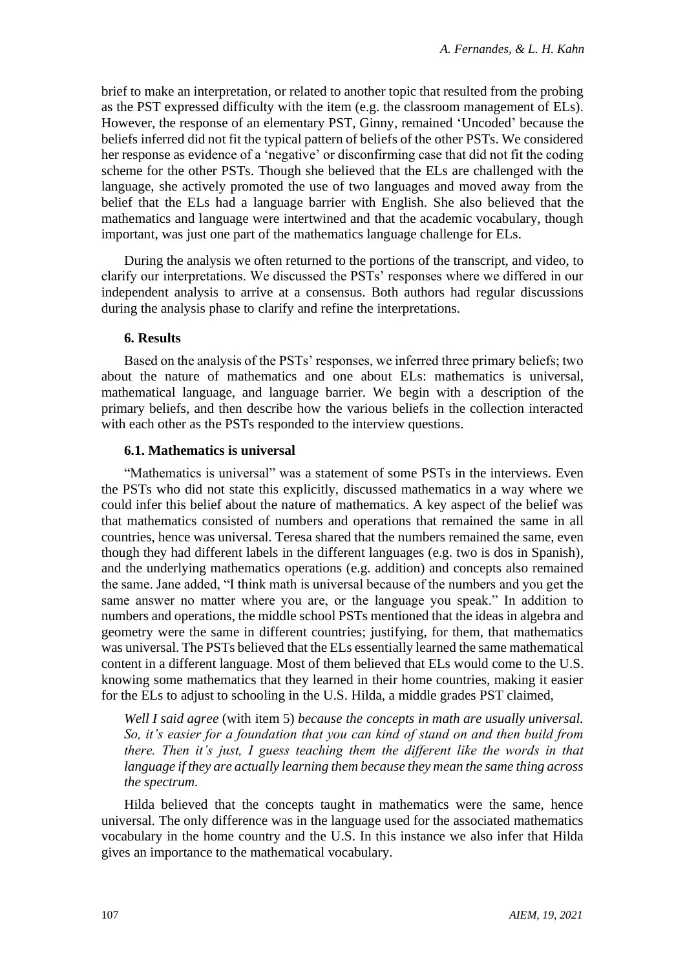brief to make an interpretation, or related to another topic that resulted from the probing as the PST expressed difficulty with the item (e.g. the classroom management of ELs). However, the response of an elementary PST, Ginny, remained 'Uncoded' because the beliefs inferred did not fit the typical pattern of beliefs of the other PSTs. We considered her response as evidence of a 'negative' or disconfirming case that did not fit the coding scheme for the other PSTs. Though she believed that the ELs are challenged with the language, she actively promoted the use of two languages and moved away from the belief that the ELs had a language barrier with English. She also believed that the mathematics and language were intertwined and that the academic vocabulary, though important, was just one part of the mathematics language challenge for ELs.

During the analysis we often returned to the portions of the transcript, and video, to clarify our interpretations. We discussed the PSTs' responses where we differed in our independent analysis to arrive at a consensus. Both authors had regular discussions during the analysis phase to clarify and refine the interpretations.

# **6. Results**

Based on the analysis of the PSTs' responses, we inferred three primary beliefs; two about the nature of mathematics and one about ELs: mathematics is universal, mathematical language, and language barrier. We begin with a description of the primary beliefs, and then describe how the various beliefs in the collection interacted with each other as the PSTs responded to the interview questions.

# **6.1. Mathematics is universal**

"Mathematics is universal" was a statement of some PSTs in the interviews. Even the PSTs who did not state this explicitly, discussed mathematics in a way where we could infer this belief about the nature of mathematics. A key aspect of the belief was that mathematics consisted of numbers and operations that remained the same in all countries, hence was universal. Teresa shared that the numbers remained the same, even though they had different labels in the different languages (e.g. two is dos in Spanish), and the underlying mathematics operations (e.g. addition) and concepts also remained the same. Jane added, "I think math is universal because of the numbers and you get the same answer no matter where you are, or the language you speak." In addition to numbers and operations, the middle school PSTs mentioned that the ideas in algebra and geometry were the same in different countries; justifying, for them, that mathematics was universal. The PSTs believed that the ELs essentially learned the same mathematical content in a different language. Most of them believed that ELs would come to the U.S. knowing some mathematics that they learned in their home countries, making it easier for the ELs to adjust to schooling in the U.S. Hilda, a middle grades PST claimed,

*Well I said agree* (with item 5) *because the concepts in math are usually universal. So, it's easier for a foundation that you can kind of stand on and then build from there. Then it's just, I guess teaching them the different like the words in that language if they are actually learning them because they mean the same thing across the spectrum.*

Hilda believed that the concepts taught in mathematics were the same, hence universal. The only difference was in the language used for the associated mathematics vocabulary in the home country and the U.S. In this instance we also infer that Hilda gives an importance to the mathematical vocabulary.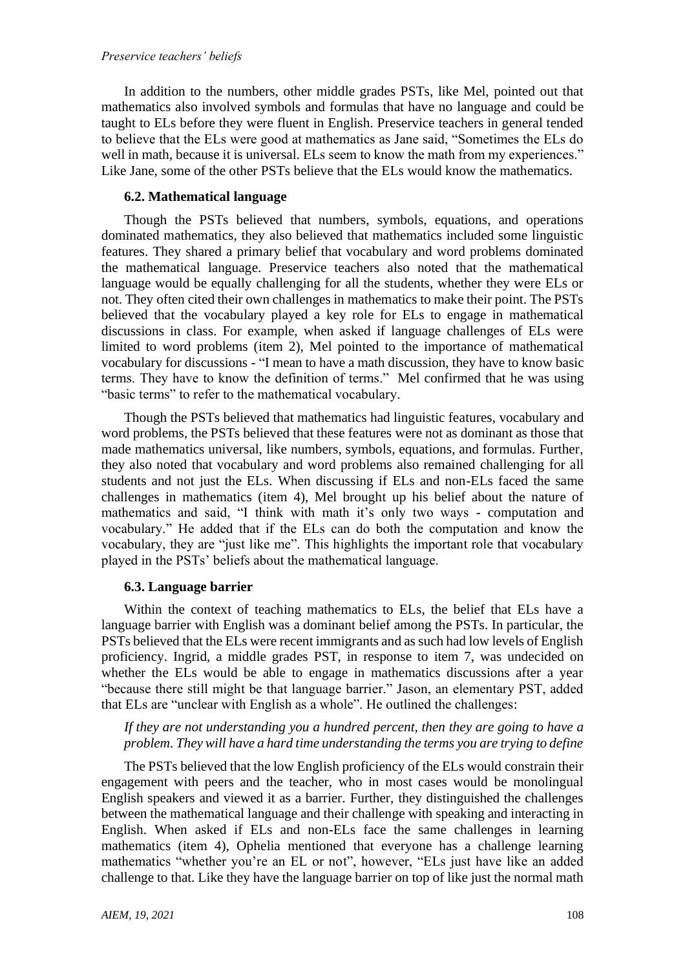#### *Preservice teachers' beliefs*

In addition to the numbers, other middle grades PSTs, like Mel, pointed out that mathematics also involved symbols and formulas that have no language and could be taught to ELs before they were fluent in English. Preservice teachers in general tended to believe that the ELs were good at mathematics as Jane said, "Sometimes the ELs do well in math, because it is universal. ELs seem to know the math from my experiences." Like Jane, some of the other PSTs believe that the ELs would know the mathematics.

### **6.2. Mathematical language**

Though the PSTs believed that numbers, symbols, equations, and operations dominated mathematics, they also believed that mathematics included some linguistic features. They shared a primary belief that vocabulary and word problems dominated the mathematical language. Preservice teachers also noted that the mathematical language would be equally challenging for all the students, whether they were ELs or not. They often cited their own challenges in mathematics to make their point. The PSTs believed that the vocabulary played a key role for ELs to engage in mathematical discussions in class. For example, when asked if language challenges of ELs were limited to word problems (item 2), Mel pointed to the importance of mathematical vocabulary for discussions - "I mean to have a math discussion, they have to know basic terms. They have to know the definition of terms." Mel confirmed that he was using "basic terms" to refer to the mathematical vocabulary.

Though the PSTs believed that mathematics had linguistic features, vocabulary and word problems, the PSTs believed that these features were not as dominant as those that made mathematics universal, like numbers, symbols, equations, and formulas. Further, they also noted that vocabulary and word problems also remained challenging for all students and not just the ELs. When discussing if ELs and non-ELs faced the same challenges in mathematics (item 4), Mel brought up his belief about the nature of mathematics and said, "I think with math it's only two ways - computation and vocabulary." He added that if the ELs can do both the computation and know the vocabulary, they are "just like me". This highlights the important role that vocabulary played in the PSTs' beliefs about the mathematical language.

### **6.3. Language barrier**

Within the context of teaching mathematics to ELs, the belief that ELs have a language barrier with English was a dominant belief among the PSTs. In particular, the PSTs believed that the ELs were recent immigrants and as such had low levels of English proficiency. Ingrid, a middle grades PST, in response to item 7, was undecided on whether the ELs would be able to engage in mathematics discussions after a year "because there still might be that language barrier." Jason, an elementary PST, added that ELs are "unclear with English as a whole". He outlined the challenges:

# *If they are not understanding you a hundred percent, then they are going to have a problem. They will have a hard time understanding the terms you are trying to define*

The PSTs believed that the low English proficiency of the ELs would constrain their engagement with peers and the teacher, who in most cases would be monolingual English speakers and viewed it as a barrier. Further, they distinguished the challenges between the mathematical language and their challenge with speaking and interacting in English. When asked if ELs and non-ELs face the same challenges in learning mathematics (item 4), Ophelia mentioned that everyone has a challenge learning mathematics "whether you're an EL or not", however, "ELs just have like an added challenge to that. Like they have the language barrier on top of like just the normal math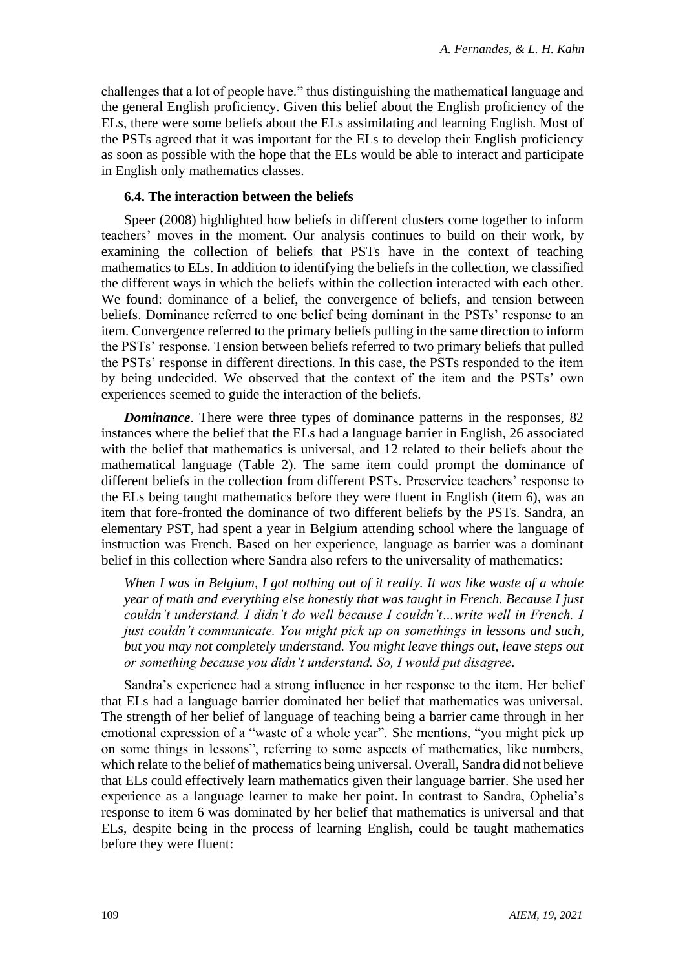challenges that a lot of people have." thus distinguishing the mathematical language and the general English proficiency. Given this belief about the English proficiency of the ELs, there were some beliefs about the ELs assimilating and learning English. Most of the PSTs agreed that it was important for the ELs to develop their English proficiency as soon as possible with the hope that the ELs would be able to interact and participate in English only mathematics classes.

### **6.4. The interaction between the beliefs**

Speer (2008) highlighted how beliefs in different clusters come together to inform teachers' moves in the moment. Our analysis continues to build on their work, by examining the collection of beliefs that PSTs have in the context of teaching mathematics to ELs. In addition to identifying the beliefs in the collection, we classified the different ways in which the beliefs within the collection interacted with each other. We found: dominance of a belief, the convergence of beliefs, and tension between beliefs. Dominance referred to one belief being dominant in the PSTs' response to an item. Convergence referred to the primary beliefs pulling in the same direction to inform the PSTs' response. Tension between beliefs referred to two primary beliefs that pulled the PSTs' response in different directions. In this case, the PSTs responded to the item by being undecided. We observed that the context of the item and the PSTs' own experiences seemed to guide the interaction of the beliefs.

*Dominance*. There were three types of dominance patterns in the responses, 82 instances where the belief that the ELs had a language barrier in English, 26 associated with the belief that mathematics is universal, and 12 related to their beliefs about the mathematical language (Table 2). The same item could prompt the dominance of different beliefs in the collection from different PSTs. Preservice teachers' response to the ELs being taught mathematics before they were fluent in English (item 6), was an item that fore-fronted the dominance of two different beliefs by the PSTs. Sandra, an elementary PST, had spent a year in Belgium attending school where the language of instruction was French. Based on her experience, language as barrier was a dominant belief in this collection where Sandra also refers to the universality of mathematics:

*When I was in Belgium, I got nothing out of it really. It was like waste of a whole year of math and everything else honestly that was taught in French. Because I just couldn't understand. I didn't do well because I couldn't…write well in French. I just couldn't communicate. You might pick up on somethings in lessons and such, but you may not completely understand. You might leave things out, leave steps out or something because you didn't understand. So, I would put disagree.*

Sandra's experience had a strong influence in her response to the item. Her belief that ELs had a language barrier dominated her belief that mathematics was universal. The strength of her belief of language of teaching being a barrier came through in her emotional expression of a "waste of a whole year". She mentions, "you might pick up on some things in lessons", referring to some aspects of mathematics, like numbers, which relate to the belief of mathematics being universal. Overall, Sandra did not believe that ELs could effectively learn mathematics given their language barrier. She used her experience as a language learner to make her point. In contrast to Sandra, Ophelia's response to item 6 was dominated by her belief that mathematics is universal and that ELs, despite being in the process of learning English, could be taught mathematics before they were fluent: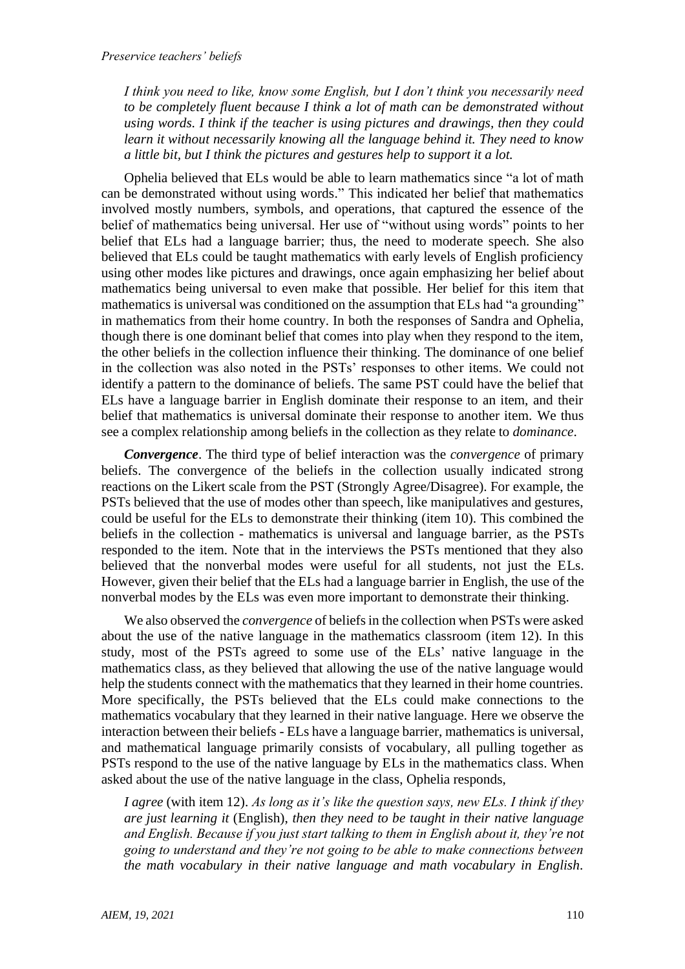*I think you need to like, know some English, but I don't think you necessarily need to be completely fluent because I think a lot of math can be demonstrated without using words. I think if the teacher is using pictures and drawings, then they could learn it without necessarily knowing all the language behind it. They need to know a little bit, but I think the pictures and gestures help to support it a lot.*

Ophelia believed that ELs would be able to learn mathematics since "a lot of math can be demonstrated without using words." This indicated her belief that mathematics involved mostly numbers, symbols, and operations, that captured the essence of the belief of mathematics being universal. Her use of "without using words" points to her belief that ELs had a language barrier; thus, the need to moderate speech. She also believed that ELs could be taught mathematics with early levels of English proficiency using other modes like pictures and drawings, once again emphasizing her belief about mathematics being universal to even make that possible. Her belief for this item that mathematics is universal was conditioned on the assumption that ELs had "a grounding" in mathematics from their home country. In both the responses of Sandra and Ophelia, though there is one dominant belief that comes into play when they respond to the item, the other beliefs in the collection influence their thinking. The dominance of one belief in the collection was also noted in the PSTs' responses to other items. We could not identify a pattern to the dominance of beliefs. The same PST could have the belief that ELs have a language barrier in English dominate their response to an item, and their belief that mathematics is universal dominate their response to another item. We thus see a complex relationship among beliefs in the collection as they relate to *dominance*.

*Convergence*. The third type of belief interaction was the *convergence* of primary beliefs. The convergence of the beliefs in the collection usually indicated strong reactions on the Likert scale from the PST (Strongly Agree/Disagree). For example, the PSTs believed that the use of modes other than speech, like manipulatives and gestures, could be useful for the ELs to demonstrate their thinking (item 10). This combined the beliefs in the collection - mathematics is universal and language barrier, as the PSTs responded to the item. Note that in the interviews the PSTs mentioned that they also believed that the nonverbal modes were useful for all students, not just the ELs. However, given their belief that the ELs had a language barrier in English, the use of the nonverbal modes by the ELs was even more important to demonstrate their thinking.

We also observed the *convergence* of beliefs in the collection when PSTs were asked about the use of the native language in the mathematics classroom (item 12). In this study, most of the PSTs agreed to some use of the ELs' native language in the mathematics class, as they believed that allowing the use of the native language would help the students connect with the mathematics that they learned in their home countries. More specifically, the PSTs believed that the ELs could make connections to the mathematics vocabulary that they learned in their native language. Here we observe the interaction between their beliefs - ELs have a language barrier, mathematics is universal, and mathematical language primarily consists of vocabulary, all pulling together as PSTs respond to the use of the native language by ELs in the mathematics class. When asked about the use of the native language in the class, Ophelia responds,

*I agree* (with item 12). *As long as it's like the question says, new ELs. I think if they are just learning it* (English), *then they need to be taught in their native language and English. Because if you just start talking to them in English about it, they're not going to understand and they're not going to be able to make connections between the math vocabulary in their native language and math vocabulary in English.*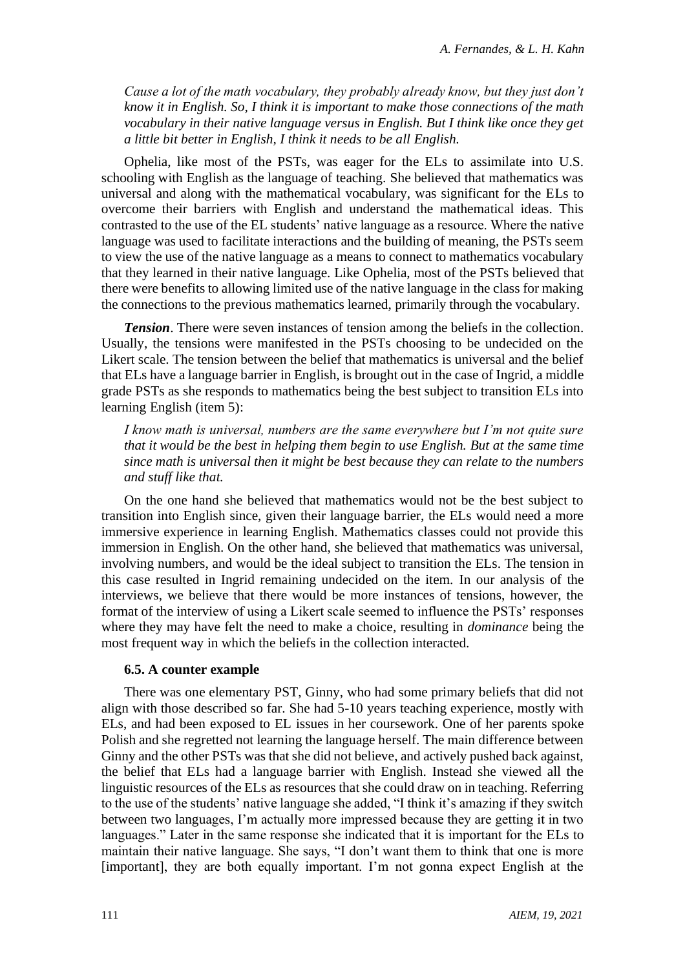*Cause a lot of the math vocabulary, they probably already know, but they just don't know it in English. So, I think it is important to make those connections of the math vocabulary in their native language versus in English. But I think like once they get a little bit better in English, I think it needs to be all English.*

Ophelia, like most of the PSTs, was eager for the ELs to assimilate into U.S. schooling with English as the language of teaching. She believed that mathematics was universal and along with the mathematical vocabulary, was significant for the ELs to overcome their barriers with English and understand the mathematical ideas. This contrasted to the use of the EL students' native language as a resource. Where the native language was used to facilitate interactions and the building of meaning, the PSTs seem to view the use of the native language as a means to connect to mathematics vocabulary that they learned in their native language. Like Ophelia, most of the PSTs believed that there were benefits to allowing limited use of the native language in the class for making the connections to the previous mathematics learned, primarily through the vocabulary.

*Tension*. There were seven instances of tension among the beliefs in the collection. Usually, the tensions were manifested in the PSTs choosing to be undecided on the Likert scale. The tension between the belief that mathematics is universal and the belief that ELs have a language barrier in English, is brought out in the case of Ingrid, a middle grade PSTs as she responds to mathematics being the best subject to transition ELs into learning English (item 5):

*I know math is universal, numbers are the same everywhere but I'm not quite sure that it would be the best in helping them begin to use English. But at the same time since math is universal then it might be best because they can relate to the numbers and stuff like that.*

On the one hand she believed that mathematics would not be the best subject to transition into English since, given their language barrier, the ELs would need a more immersive experience in learning English. Mathematics classes could not provide this immersion in English. On the other hand, she believed that mathematics was universal, involving numbers, and would be the ideal subject to transition the ELs. The tension in this case resulted in Ingrid remaining undecided on the item. In our analysis of the interviews, we believe that there would be more instances of tensions, however, the format of the interview of using a Likert scale seemed to influence the PSTs' responses where they may have felt the need to make a choice, resulting in *dominance* being the most frequent way in which the beliefs in the collection interacted.

#### **6.5. A counter example**

There was one elementary PST, Ginny, who had some primary beliefs that did not align with those described so far. She had 5-10 years teaching experience, mostly with ELs, and had been exposed to EL issues in her coursework. One of her parents spoke Polish and she regretted not learning the language herself. The main difference between Ginny and the other PSTs was that she did not believe, and actively pushed back against, the belief that ELs had a language barrier with English. Instead she viewed all the linguistic resources of the ELs as resources that she could draw on in teaching. Referring to the use of the students' native language she added, "I think it's amazing if they switch between two languages, I'm actually more impressed because they are getting it in two languages." Later in the same response she indicated that it is important for the ELs to maintain their native language. She says, "I don't want them to think that one is more [important], they are both equally important. I'm not gonna expect English at the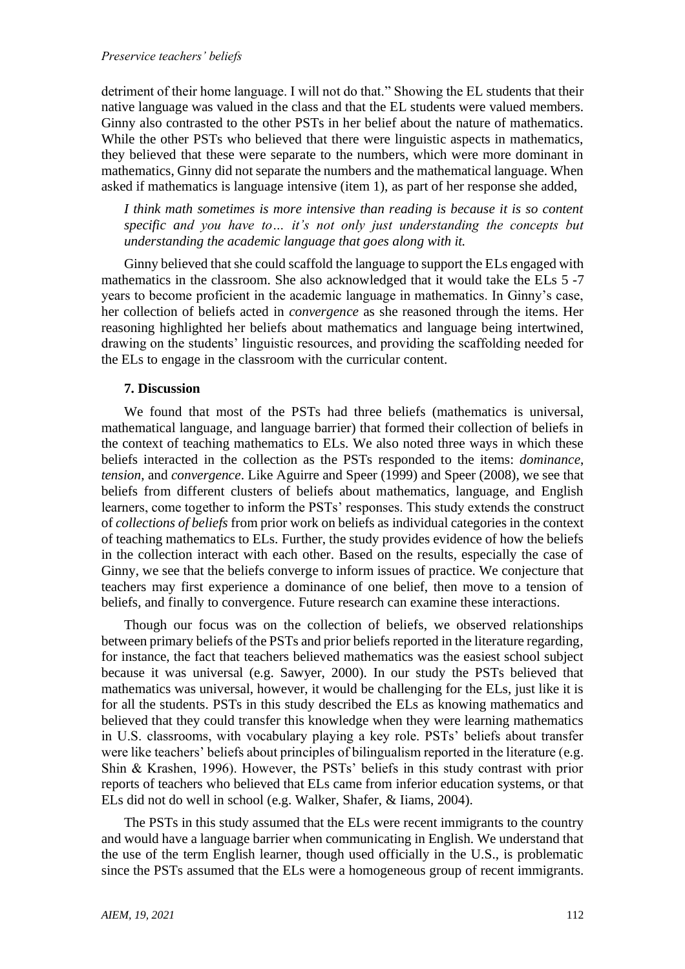detriment of their home language. I will not do that." Showing the EL students that their native language was valued in the class and that the EL students were valued members. Ginny also contrasted to the other PSTs in her belief about the nature of mathematics. While the other PSTs who believed that there were linguistic aspects in mathematics, they believed that these were separate to the numbers, which were more dominant in mathematics, Ginny did not separate the numbers and the mathematical language. When asked if mathematics is language intensive (item 1), as part of her response she added,

*I think math sometimes is more intensive than reading is because it is so content specific and you have to… it's not only just understanding the concepts but understanding the academic language that goes along with it.*

Ginny believed that she could scaffold the language to support the ELs engaged with mathematics in the classroom. She also acknowledged that it would take the ELs 5 -7 years to become proficient in the academic language in mathematics. In Ginny's case, her collection of beliefs acted in *convergence* as she reasoned through the items. Her reasoning highlighted her beliefs about mathematics and language being intertwined, drawing on the students' linguistic resources, and providing the scaffolding needed for the ELs to engage in the classroom with the curricular content.

# **7. Discussion**

We found that most of the PSTs had three beliefs (mathematics is universal, mathematical language, and language barrier) that formed their collection of beliefs in the context of teaching mathematics to ELs. We also noted three ways in which these beliefs interacted in the collection as the PSTs responded to the items: *dominance*, *tension*, and *convergence*. Like Aguirre and Speer (1999) and Speer (2008), we see that beliefs from different clusters of beliefs about mathematics, language, and English learners, come together to inform the PSTs' responses. This study extends the construct of *collections of beliefs* from prior work on beliefs as individual categories in the context of teaching mathematics to ELs. Further, the study provides evidence of how the beliefs in the collection interact with each other. Based on the results, especially the case of Ginny, we see that the beliefs converge to inform issues of practice. We conjecture that teachers may first experience a dominance of one belief, then move to a tension of beliefs, and finally to convergence. Future research can examine these interactions.

Though our focus was on the collection of beliefs, we observed relationships between primary beliefs of the PSTs and prior beliefs reported in the literature regarding, for instance, the fact that teachers believed mathematics was the easiest school subject because it was universal (e.g. Sawyer, 2000). In our study the PSTs believed that mathematics was universal, however, it would be challenging for the ELs, just like it is for all the students. PSTs in this study described the ELs as knowing mathematics and believed that they could transfer this knowledge when they were learning mathematics in U.S. classrooms, with vocabulary playing a key role. PSTs' beliefs about transfer were like teachers' beliefs about principles of bilingualism reported in the literature (e.g. Shin & Krashen, 1996). However, the PSTs' beliefs in this study contrast with prior reports of teachers who believed that ELs came from inferior education systems, or that ELs did not do well in school (e.g. Walker, Shafer, & Iiams, 2004).

The PSTs in this study assumed that the ELs were recent immigrants to the country and would have a language barrier when communicating in English. We understand that the use of the term English learner, though used officially in the U.S., is problematic since the PSTs assumed that the ELs were a homogeneous group of recent immigrants.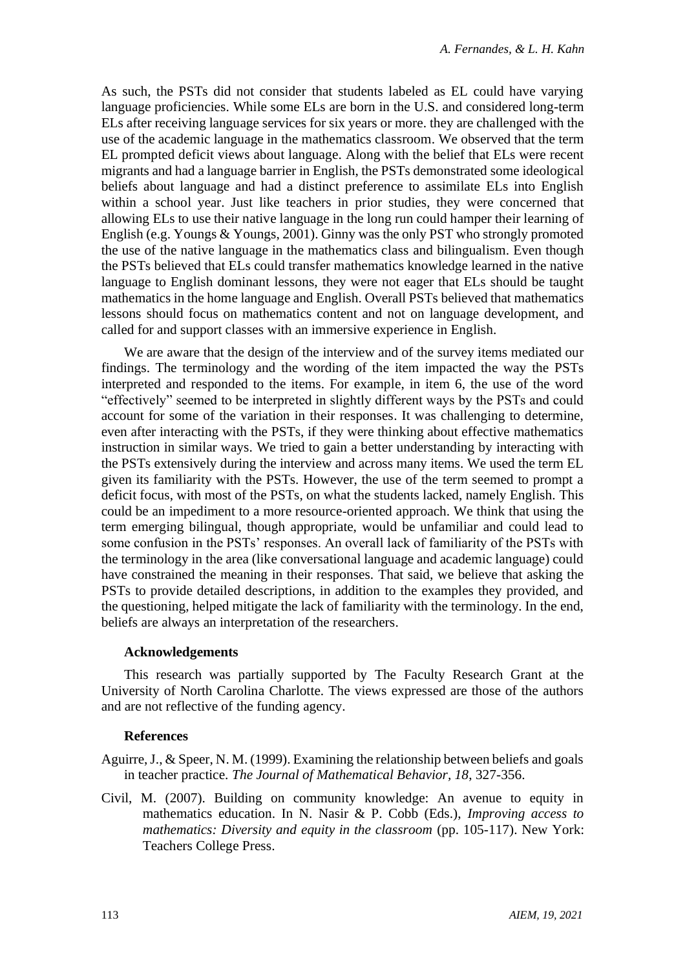As such, the PSTs did not consider that students labeled as EL could have varying language proficiencies. While some ELs are born in the U.S. and considered long-term ELs after receiving language services for six years or more. they are challenged with the use of the academic language in the mathematics classroom. We observed that the term EL prompted deficit views about language. Along with the belief that ELs were recent migrants and had a language barrier in English, the PSTs demonstrated some ideological beliefs about language and had a distinct preference to assimilate ELs into English within a school year. Just like teachers in prior studies, they were concerned that allowing ELs to use their native language in the long run could hamper their learning of English (e.g. Youngs & Youngs, 2001). Ginny was the only PST who strongly promoted the use of the native language in the mathematics class and bilingualism. Even though the PSTs believed that ELs could transfer mathematics knowledge learned in the native language to English dominant lessons, they were not eager that ELs should be taught mathematics in the home language and English. Overall PSTs believed that mathematics lessons should focus on mathematics content and not on language development, and called for and support classes with an immersive experience in English.

We are aware that the design of the interview and of the survey items mediated our findings. The terminology and the wording of the item impacted the way the PSTs interpreted and responded to the items. For example, in item 6, the use of the word "effectively" seemed to be interpreted in slightly different ways by the PSTs and could account for some of the variation in their responses. It was challenging to determine, even after interacting with the PSTs, if they were thinking about effective mathematics instruction in similar ways. We tried to gain a better understanding by interacting with the PSTs extensively during the interview and across many items. We used the term EL given its familiarity with the PSTs. However, the use of the term seemed to prompt a deficit focus, with most of the PSTs, on what the students lacked, namely English. This could be an impediment to a more resource-oriented approach. We think that using the term emerging bilingual, though appropriate, would be unfamiliar and could lead to some confusion in the PSTs' responses. An overall lack of familiarity of the PSTs with the terminology in the area (like conversational language and academic language) could have constrained the meaning in their responses. That said, we believe that asking the PSTs to provide detailed descriptions, in addition to the examples they provided, and the questioning, helped mitigate the lack of familiarity with the terminology. In the end, beliefs are always an interpretation of the researchers.

# **Acknowledgements**

This research was partially supported by The Faculty Research Grant at the University of North Carolina Charlotte. The views expressed are those of the authors and are not reflective of the funding agency.

# **References**

Aguirre, J., & Speer, N. M. (1999). Examining the relationship between beliefs and goals in teacher practice. *The Journal of Mathematical Behavior, 18*, 327-356.

Civil, M. (2007). Building on community knowledge: An avenue to equity in mathematics education. In N. Nasir & P. Cobb (Eds.), *Improving access to mathematics: Diversity and equity in the classroom* (pp. 105-117). New York: Teachers College Press.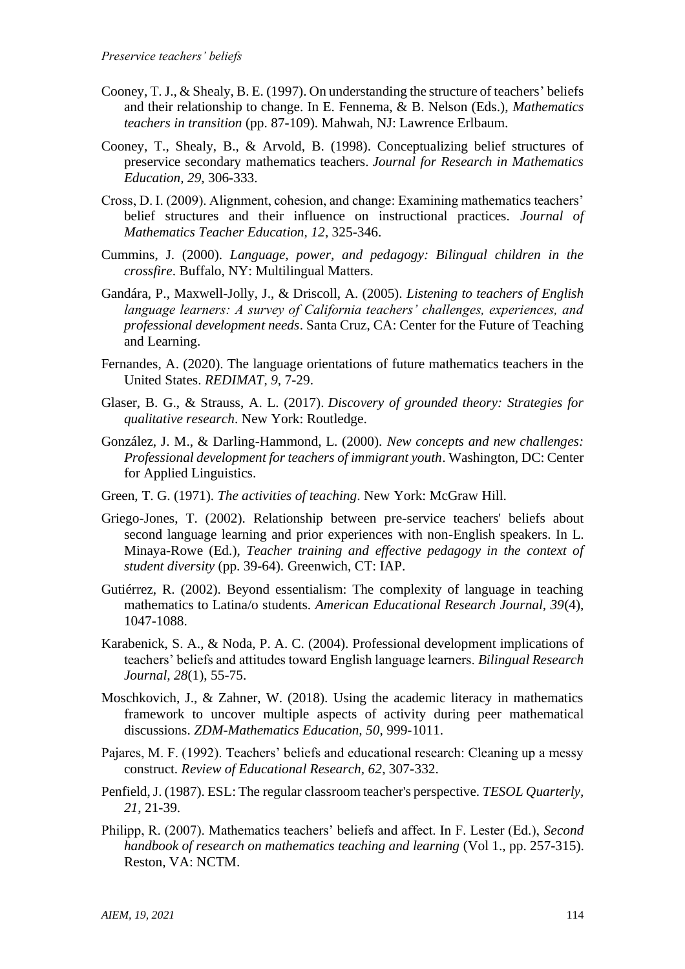- Cooney, T. J., & Shealy, B. E. (1997). On understanding the structure of teachers' beliefs and their relationship to change. In E. Fennema, & B. Nelson (Eds.), *Mathematics teachers in transition* (pp. 87-109). Mahwah, NJ: Lawrence Erlbaum.
- Cooney, T., Shealy, B., & Arvold, B. (1998). Conceptualizing belief structures of preservice secondary mathematics teachers. *Journal for Research in Mathematics Education, 29*, 306-333.
- Cross, D. I. (2009). Alignment, cohesion, and change: Examining mathematics teachers' belief structures and their influence on instructional practices. *Journal of Mathematics Teacher Education, 12*, 325-346.
- Cummins, J. (2000). *Language, power, and pedagogy: Bilingual children in the crossfire*. Buffalo, NY: Multilingual Matters.
- Gandára, P., Maxwell-Jolly, J., & Driscoll, A. (2005). *Listening to teachers of English language learners: A survey of California teachers' challenges, experiences, and professional development needs*. Santa Cruz, CA: Center for the Future of Teaching and Learning.
- Fernandes, A. (2020). The language orientations of future mathematics teachers in the United States. *REDIMAT*, *9*, 7-29.
- Glaser, B. G., & Strauss, A. L. (2017). *Discovery of grounded theory: Strategies for qualitative research*. New York: Routledge.
- González, J. M., & Darling-Hammond, L. (2000). *New concepts and new challenges: Professional development for teachers of immigrant youth*. Washington, DC: Center for Applied Linguistics.
- Green, T. G. (1971). *The activities of teaching*. New York: McGraw Hill.
- Griego-Jones, T. (2002). Relationship between pre-service teachers' beliefs about second language learning and prior experiences with non-English speakers. In L. Minaya-Rowe (Ed.), *Teacher training and effective pedagogy in the context of student diversity* (pp. 39-64). Greenwich, CT: IAP.
- Gutiérrez, R. (2002). Beyond essentialism: The complexity of language in teaching mathematics to Latina/o students. *American Educational Research Journal, 39*(4), 1047-1088.
- Karabenick, S. A., & Noda, P. A. C. (2004). Professional development implications of teachers' beliefs and attitudes toward English language learners. *Bilingual Research Journal, 28*(1), 55-75.
- Moschkovich, J., & Zahner, W. (2018). Using the academic literacy in mathematics framework to uncover multiple aspects of activity during peer mathematical discussions. *ZDM-Mathematics Education, 50*, 999-1011.
- Pajares, M. F. (1992). Teachers' beliefs and educational research: Cleaning up a messy construct. *Review of Educational Research, 62*, 307-332.
- Penfield, J. (1987). ESL: The regular classroom teacher's perspective. *TESOL Quarterly, 21*, 21-39.
- Philipp, R. (2007). Mathematics teachers' beliefs and affect. In F. Lester (Ed.), *Second handbook of research on mathematics teaching and learning* (Vol 1., pp. 257-315). Reston, VA: NCTM.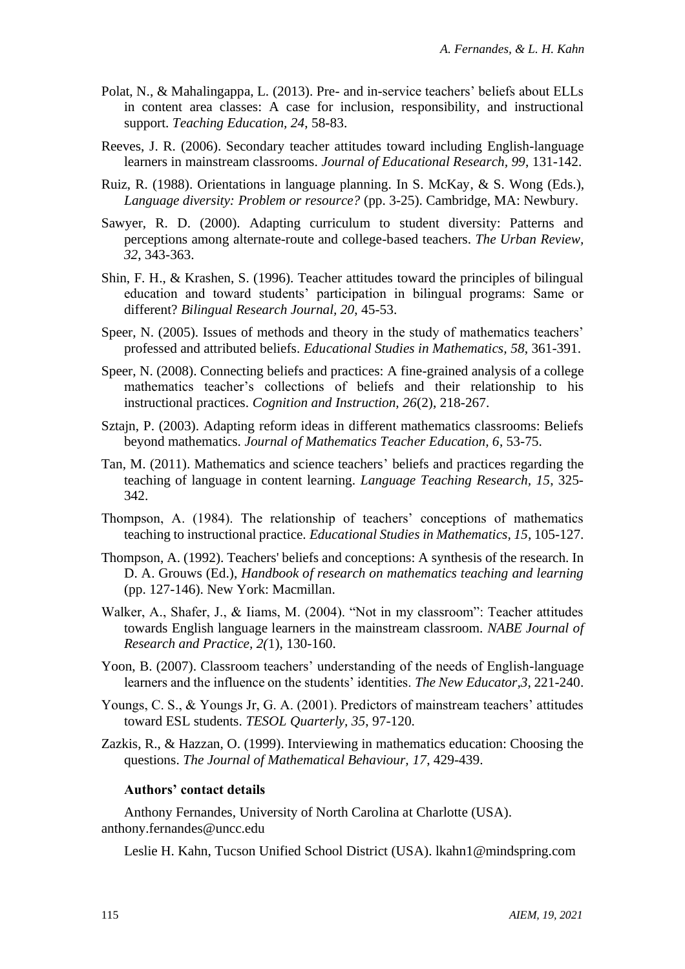- Polat, N., & Mahalingappa, L. (2013). Pre- and in-service teachers' beliefs about ELLs in content area classes: A case for inclusion, responsibility, and instructional support. *Teaching Education, 24*, 58-83.
- Reeves, J. R. (2006). Secondary teacher attitudes toward including English-language learners in mainstream classrooms. *Journal of Educational Research, 99*, 131-142.
- Ruiz, R. (1988). Orientations in language planning. In S. McKay, & S. Wong (Eds.), *Language diversity: Problem or resource?* (pp. 3-25). Cambridge, MA: Newbury.
- Sawyer, R. D. (2000). Adapting curriculum to student diversity: Patterns and perceptions among alternate-route and college-based teachers. *The Urban Review, 32*, 343-363.
- Shin, F. H., & Krashen, S. (1996). Teacher attitudes toward the principles of bilingual education and toward students' participation in bilingual programs: Same or different? *Bilingual Research Journal, 20*, 45-53.
- Speer, N. (2005). Issues of methods and theory in the study of mathematics teachers' professed and attributed beliefs. *Educational Studies in Mathematics, 58*, 361-391.
- Speer, N. (2008). Connecting beliefs and practices: A fine-grained analysis of a college mathematics teacher's collections of beliefs and their relationship to his instructional practices. *Cognition and Instruction, 26*(2), 218-267.
- Sztajn, P. (2003). Adapting reform ideas in different mathematics classrooms: Beliefs beyond mathematics*. Journal of Mathematics Teacher Education, 6*, 53-75.
- Tan, M. (2011). Mathematics and science teachers' beliefs and practices regarding the teaching of language in content learning. *Language Teaching Research, 15*, 325- 342.
- Thompson, A. (1984). The relationship of teachers' conceptions of mathematics teaching to instructional practice. *Educational Studies in Mathematics, 15*, 105-127.
- Thompson, A. (1992). Teachers' beliefs and conceptions: A synthesis of the research. In D. A. Grouws (Ed.), *Handbook of research on mathematics teaching and learning* (pp. 127-146). New York: Macmillan.
- Walker, A., Shafer, J., & Iiams, M. (2004). "Not in my classroom": Teacher attitudes towards English language learners in the mainstream classroom. *NABE Journal of Research and Practice, 2(*1), 130-160.
- Yoon, B. (2007). Classroom teachers' understanding of the needs of English-language learners and the influence on the students' identities. *The New Educator,3*, 221-240.
- Youngs, C. S., & Youngs Jr, G. A. (2001). Predictors of mainstream teachers' attitudes toward ESL students. *TESOL Quarterly, 35*, 97-120.
- Zazkis, R., & Hazzan, O. (1999). Interviewing in mathematics education: Choosing the questions. *The Journal of Mathematical Behaviour, 17*, 429-439.

# **Authors' contact details**

Anthony Fernandes, University of North Carolina at Charlotte (USA). anthony.fernandes@uncc.edu

Leslie H. Kahn, Tucson Unified School District (USA). lkahn1@mindspring.com